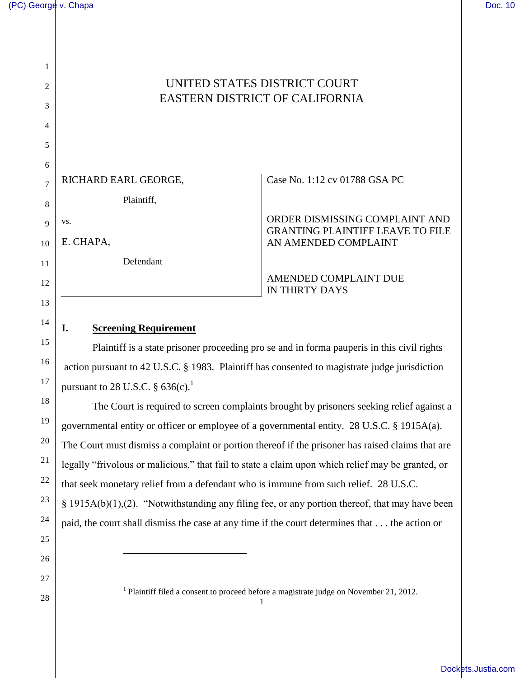1

2

3

4

5

14

15

16

17

18

19

20

21

22

23

24

25

26

27

# UNITED STATES DISTRICT COURT EASTERN DISTRICT OF CALIFORNIA

| 6  |                      |                                                                           |
|----|----------------------|---------------------------------------------------------------------------|
|    | RICHARD EARL GEORGE, | Case No. 1:12 cv 01788 GSA PC                                             |
| 8  | Plaintiff,           |                                                                           |
|    | VS.                  | ORDER DISMISSING COMPLAINT AND<br><b>GRANTING PLAINTIFF LEAVE TO FILE</b> |
| 10 | E. CHAPA,            | AN AMENDED COMPLAINT                                                      |
| 11 | Defendant            |                                                                           |
| 12 |                      | AMENDED COMPLAINT DUE<br><b>IN THIRTY DAYS</b>                            |
| 13 |                      |                                                                           |

#### **I. Screening Requirement**

 $\overline{a}$ 

Plaintiff is a state prisoner proceeding pro se and in forma pauperis in this civil rights action pursuant to 42 U.S.C. § 1983. Plaintiff has consented to magistrate judge jurisdiction pursuant to 28 U.S.C.  $\S 636(c)$ .<sup>1</sup>

The Court is required to screen complaints brought by prisoners seeking relief against a governmental entity or officer or employee of a governmental entity. 28 U.S.C. § 1915A(a). The Court must dismiss a complaint or portion thereof if the prisoner has raised claims that are legally "frivolous or malicious," that fail to state a claim upon which relief may be granted, or that seek monetary relief from a defendant who is immune from such relief. 28 U.S.C. § 1915A(b)(1),(2). "Notwithstanding any filing fee, or any portion thereof, that may have been paid, the court shall dismiss the case at any time if the court determines that . . . the action or

 $28 \parallel$  1 <sup>1</sup> Plaintiff filed a consent to proceed before a magistrate judge on November 21, 2012.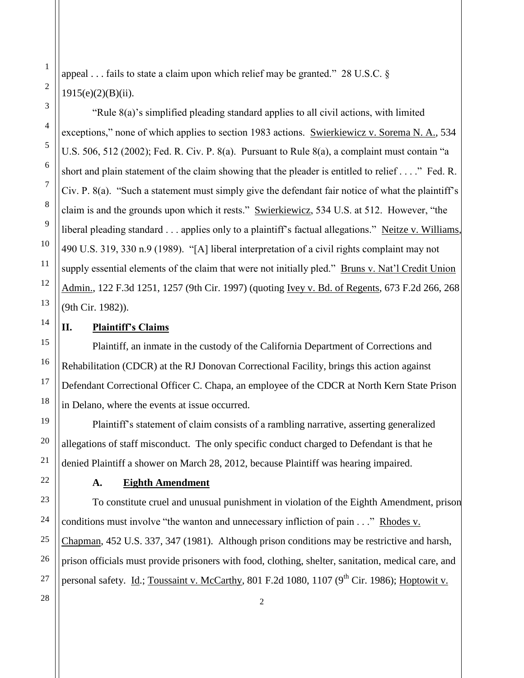appeal . . . fails to state a claim upon which relief may be granted." 28 U.S.C. §  $1915(e)(2)(B)(ii)$ .

"Rule 8(a)'s simplified pleading standard applies to all civil actions, with limited exceptions," none of which applies to section 1983 actions. Swierkiewicz v. Sorema N. A., 534 U.S. 506, 512 (2002); Fed. R. Civ. P. 8(a). Pursuant to Rule 8(a), a complaint must contain "a short and plain statement of the claim showing that the pleader is entitled to relief . . . ." Fed. R. Civ. P. 8(a). "Such a statement must simply give the defendant fair notice of what the plaintiff's claim is and the grounds upon which it rests." Swierkiewicz, 534 U.S. at 512. However, "the liberal pleading standard . . . applies only to a plaintiff's factual allegations." Neitze v. Williams, 490 U.S. 319, 330 n.9 (1989). "[A] liberal interpretation of a civil rights complaint may not supply essential elements of the claim that were not initially pled." Bruns v. Nat'l Credit Union Admin., 122 F.3d 1251, 1257 (9th Cir. 1997) (quoting Ivey v. Bd. of Regents, 673 F.2d 266, 268 (9th Cir. 1982)).

## **II. Plaintiff's Claims**

Plaintiff, an inmate in the custody of the California Department of Corrections and Rehabilitation (CDCR) at the RJ Donovan Correctional Facility, brings this action against Defendant Correctional Officer C. Chapa, an employee of the CDCR at North Kern State Prison in Delano, where the events at issue occurred.

Plaintiff's statement of claim consists of a rambling narrative, asserting generalized allegations of staff misconduct. The only specific conduct charged to Defendant is that he denied Plaintiff a shower on March 28, 2012, because Plaintiff was hearing impaired.

#### **A. Eighth Amendment**

To constitute cruel and unusual punishment in violation of the Eighth Amendment, prison conditions must involve "the wanton and unnecessary infliction of pain . . ." Rhodes v. Chapman, 452 U.S. 337, 347 (1981). Although prison conditions may be restrictive and harsh, prison officials must provide prisoners with food, clothing, shelter, sanitation, medical care, and personal safety. Id.; Toussaint v. McCarthy, 801 F.2d 1080, 1107 ( $9<sup>th</sup>$  Cir. 1986); Hoptowit v.

1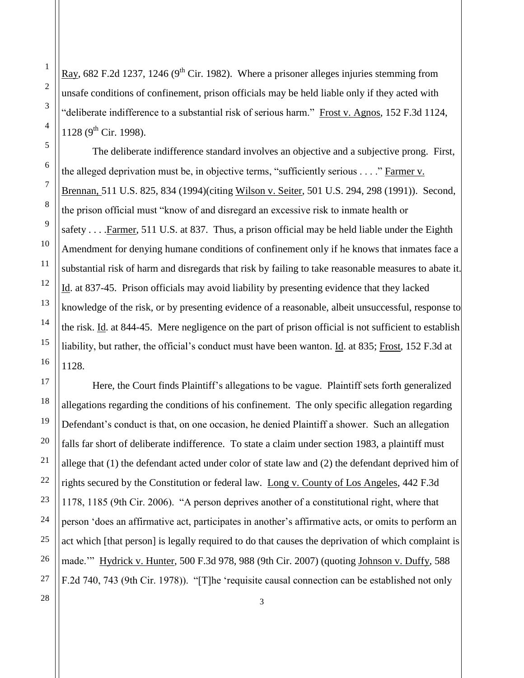Ray, 682 F.2d 1237, 1246 ( $9<sup>th</sup>$  Cir. 1982). Where a prisoner alleges injuries stemming from unsafe conditions of confinement, prison officials may be held liable only if they acted with "deliberate indifference to a substantial risk of serious harm." Frost v. Agnos, 152 F.3d 1124, 1128 ( $9^{th}$  Cir. 1998).

The deliberate indifference standard involves an objective and a subjective prong. First, the alleged deprivation must be, in objective terms, "sufficiently serious . . . ." Farmer v. Brennan, 511 U.S. 825, 834 (1994)(citing Wilson v. Seiter, 501 U.S. 294, 298 (1991)). Second, the prison official must "know of and disregard an excessive risk to inmate health or safety . . . .Farmer, 511 U.S. at 837. Thus, a prison official may be held liable under the Eighth Amendment for denying humane conditions of confinement only if he knows that inmates face a substantial risk of harm and disregards that risk by failing to take reasonable measures to abate it. Id. at 837-45. Prison officials may avoid liability by presenting evidence that they lacked knowledge of the risk, or by presenting evidence of a reasonable, albeit unsuccessful, response to the risk. Id. at 844-45. Mere negligence on the part of prison official is not sufficient to establish liability, but rather, the official's conduct must have been wanton. Id. at 835; Frost, 152 F.3d at 1128.

Here, the Court finds Plaintiff's allegations to be vague. Plaintiff sets forth generalized allegations regarding the conditions of his confinement. The only specific allegation regarding Defendant's conduct is that, on one occasion, he denied Plaintiff a shower. Such an allegation falls far short of deliberate indifference. To state a claim under section 1983, a plaintiff must allege that (1) the defendant acted under color of state law and (2) the defendant deprived him of rights secured by the Constitution or federal law. Long v. County of Los Angeles, 442 F.3d 1178, 1185 (9th Cir. 2006). "A person deprives another of a constitutional right, where that person 'does an affirmative act, participates in another's affirmative acts, or omits to perform an act which [that person] is legally required to do that causes the deprivation of which complaint is made.'" Hydrick v. Hunter, 500 F.3d 978, 988 (9th Cir. 2007) (quoting Johnson v. Duffy, 588 F.2d 740, 743 (9th Cir. 1978)). "[T]he 'requisite causal connection can be established not only

 $\begin{array}{|c|c|c|c|c|}\n\hline\n3 & 3 \\
\hline\n\end{array}$ 

1

2

3

4

5

6

7

8

9

10

11

12

13

14

15

16

17

18

19

20

21

22

23

24

25

26

27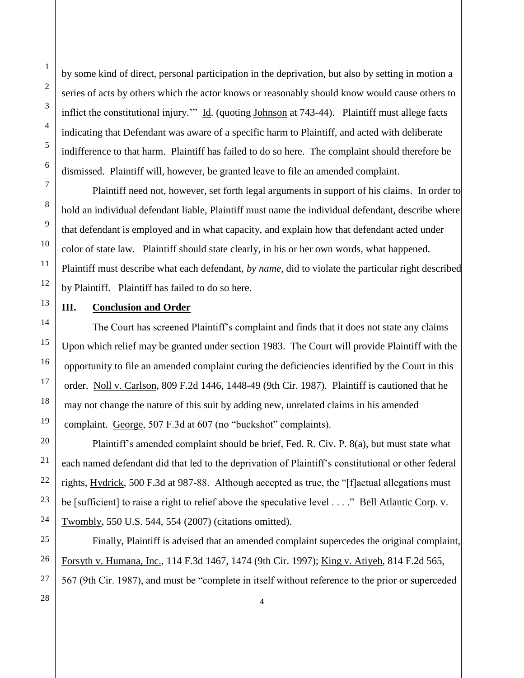by some kind of direct, personal participation in the deprivation, but also by setting in motion a series of acts by others which the actor knows or reasonably should know would cause others to inflict the constitutional injury." Id. (quoting Johnson at 743-44). Plaintiff must allege facts indicating that Defendant was aware of a specific harm to Plaintiff, and acted with deliberate indifference to that harm. Plaintiff has failed to do so here. The complaint should therefore be dismissed. Plaintiff will, however, be granted leave to file an amended complaint.

Plaintiff need not, however, set forth legal arguments in support of his claims. In order to hold an individual defendant liable, Plaintiff must name the individual defendant, describe where that defendant is employed and in what capacity, and explain how that defendant acted under color of state law. Plaintiff should state clearly, in his or her own words, what happened. Plaintiff must describe what each defendant, *by name*, did to violate the particular right described by Plaintiff. Plaintiff has failed to do so here.

### **III. Conclusion and Order**

The Court has screened Plaintiff's complaint and finds that it does not state any claims Upon which relief may be granted under section 1983. The Court will provide Plaintiff with the opportunity to file an amended complaint curing the deficiencies identified by the Court in this order. Noll v. Carlson, 809 F.2d 1446, 1448-49 (9th Cir. 1987). Plaintiff is cautioned that he may not change the nature of this suit by adding new, unrelated claims in his amended complaint. George, 507 F.3d at 607 (no "buckshot" complaints).

Plaintiff's amended complaint should be brief, Fed. R. Civ. P. 8(a), but must state what each named defendant did that led to the deprivation of Plaintiff's constitutional or other federal rights, Hydrick, 500 F.3d at 987-88. Although accepted as true, the "[f]actual allegations must be [sufficient] to raise a right to relief above the speculative level . . . ." Bell Atlantic Corp. v. Twombly, 550 U.S. 544, 554 (2007) (citations omitted).

Finally, Plaintiff is advised that an amended complaint supercedes the original complaint, Forsyth v. Humana, Inc., 114 F.3d 1467, 1474 (9th Cir. 1997); King v. Atiyeh, 814 F.2d 565, 567 (9th Cir. 1987), and must be "complete in itself without reference to the prior or superceded

1

2